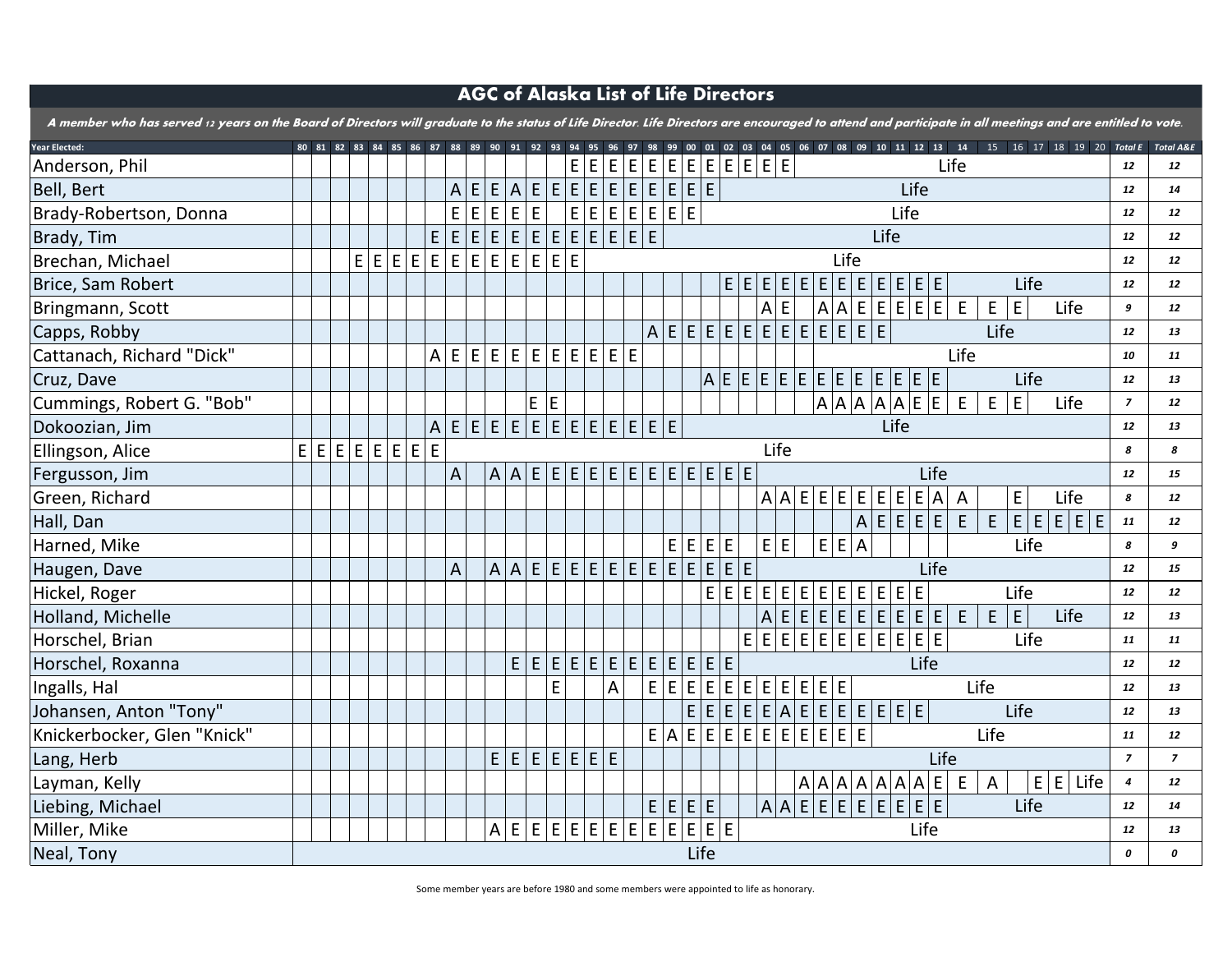

| A member who has served 12 years on the Board of Dir |  |
|------------------------------------------------------|--|
|                                                      |  |

| <b>Year Elected:</b>        | 80 | 81 | 82      | 83 |
|-----------------------------|----|----|---------|----|
| Anderson, Phil              |    |    |         |    |
| Bell, Bert                  |    |    |         |    |
| Brady-Robertson, Donna      |    |    |         |    |
| Brady, Tim                  |    |    |         |    |
| Brechan, Michael            |    |    |         |    |
| Brice, Sam Robert           |    |    |         |    |
| Bringmann, Scott            |    |    |         |    |
| Capps, Robby                |    |    |         |    |
| Cattanach, Richard "Dick"   |    |    |         |    |
| Cruz, Dave                  |    |    |         |    |
| Cummings, Robert G. "Bob"   |    |    |         |    |
| Dokoozian, Jim              |    |    |         |    |
| Ellingson, Alice            |    |    | E E E E |    |
| Fergusson, Jim              |    |    |         |    |
| Green, Richard              |    |    |         |    |
| Hall, Dan                   |    |    |         |    |
| Harned, Mike                |    |    |         |    |
| Haugen, Dave                |    |    |         |    |
| Hickel, Roger               |    |    |         |    |
| Holland, Michelle           |    |    |         |    |
| Horschel, Brian             |    |    |         |    |
| Horschel, Roxanna           |    |    |         |    |
| Ingalls, Hal                |    |    |         |    |
| Johansen, Anton "Tony"      |    |    |         |    |
| Knickerbocker, Glen "Knick" |    |    |         |    |
| Lang, Herb                  |    |    |         |    |
| Layman, Kelly               |    |    |         |    |
| Liebing, Michael            |    |    |         |    |
| Miller, Mike                |    |    |         |    |
| Neal, Tony                  |    |    |         |    |

## AGC of Alaska List of Life Directors

Some member years are before 1980 and some members were appointed to life as honorary.

|                  | entitled to vote.       |                          |
|------------------|-------------------------|--------------------------|
| 20               |                         | <b>Total E</b> Total A&E |
|                  | 12                      | 12                       |
|                  | 12                      | 14                       |
|                  | 12                      | 12                       |
|                  | 12                      | 12                       |
|                  | 12                      | 12                       |
|                  | 12                      | 12                       |
|                  | 9                       | 12                       |
|                  | 12                      | 13                       |
|                  | <i><b>10</b></i>        | 11                       |
|                  | 12                      | 13                       |
|                  | $\overline{\mathbf{z}}$ | 12                       |
|                  | 12                      | 13                       |
|                  | 8                       | 8                        |
|                  | 12                      | 15                       |
|                  | 8                       | 12                       |
| E                | 11                      | 12                       |
|                  | 8                       | 9                        |
|                  | 12                      | 15                       |
|                  | 12                      | 12                       |
|                  | 12                      | 13                       |
|                  | 11                      | 11                       |
|                  | 12                      | 12                       |
|                  | 12                      | 13                       |
|                  | 12                      | 13                       |
|                  | 11                      | 12                       |
|                  | $\overline{\mathbf{z}}$ | 7                        |
| $\dot{\text{e}}$ | $\boldsymbol{4}$        | 12                       |
|                  | 12                      | 14                       |
|                  | 12                      | 13                       |
|                  | 0                       | 0                        |